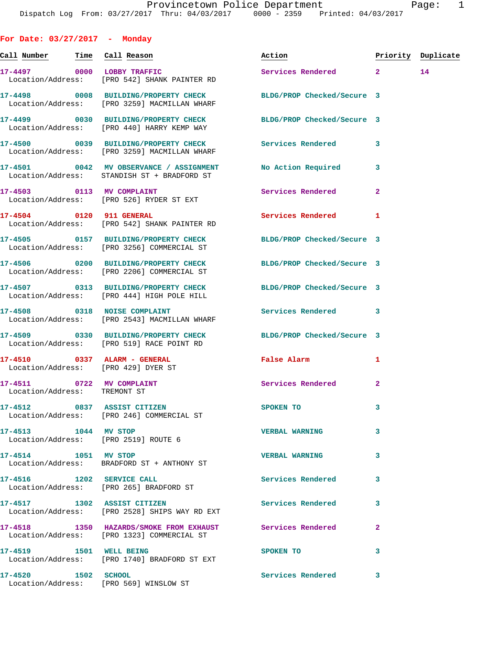**Call Number Time Call Reason Action Priority Duplicate 17-4497 0000 LOBBY TRAFFIC Services Rendered 2 14**  Location/Address: [PRO 542] SHANK PAINTER RD **17-4498 0008 BUILDING/PROPERTY CHECK BLDG/PROP Checked/Secure 3**  Location/Address: [PRO 3259] MACMILLAN WHARF **17-4499 0030 BUILDING/PROPERTY CHECK BLDG/PROP Checked/Secure 3**  Location/Address: [PRO 440] HARRY KEMP WAY **17-4500 0039 BUILDING/PROPERTY CHECK Services Rendered 3**  Location/Address: [PRO 3259] MACMILLAN WHARF **17-4501 0042 MV OBSERVANCE / ASSIGNMENT No Action Required 3**  Location/Address: STANDISH ST + BRADFORD ST **17-4503 0113 MV COMPLAINT Services Rendered 2**  Location/Address: [PRO 526] RYDER ST EXT **17-4504 0120 911 GENERAL Services Rendered 1**  Location/Address: [PRO 542] SHANK PAINTER RD **17-4505 0157 BUILDING/PROPERTY CHECK BLDG/PROP Checked/Secure 3**  Location/Address: [PRO 3256] COMMERCIAL ST **17-4506 0200 BUILDING/PROPERTY CHECK BLDG/PROP Checked/Secure 3**  Location/Address: [PRO 2206] COMMERCIAL ST **17-4507 0313 BUILDING/PROPERTY CHECK BLDG/PROP Checked/Secure 3**  Location/Address: [PRO 444] HIGH POLE HILL **17-4508 0318 NOISE COMPLAINT Services Rendered 3**  Location/Address: [PRO 2543] MACMILLAN WHARF **17-4509 0330 BUILDING/PROPERTY CHECK BLDG/PROP Checked/Secure 3**  Location/Address: [PRO 519] RACE POINT RD **17-4510 0337 ALARM - GENERAL False Alarm 1**  Location/Address: [PRO 429] DYER ST 17-4511 0722 MV COMPLAINT Services Rendered 2 Location/Address: TREMONT ST **17-4512 0837 ASSIST CITIZEN SPOKEN TO 3**  Location/Address: [PRO 246] COMMERCIAL ST **17-4513 1044 MV STOP VERBAL WARNING 3**  Location/Address: [PRO 2519] ROUTE 6 **17-4514 1051 MV STOP VERBAL WARNING 3**  Location/Address: BRADFORD ST + ANTHONY ST **17-4516 1202 SERVICE CALL Services Rendered 3**  Location/Address: [PRO 265] BRADFORD ST **17-4517 1302 ASSIST CITIZEN Services Rendered 3**  Location/Address: [PRO 2528] SHIPS WAY RD EXT 17-4518 1350 HAZARDS/SMOKE FROM EXHAUST Services Rendered 2 Location/Address: [PRO 1323] COMMERCIAL ST **17-4519 1501 WELL BEING SPOKEN TO 3**  Location/Address: [PRO 1740] BRADFORD ST EXT

**17-4520 1502 SCHOOL Services Rendered 3**  Location/Address: [PRO 569] WINSLOW ST

**For Date: 03/27/2017 - Monday**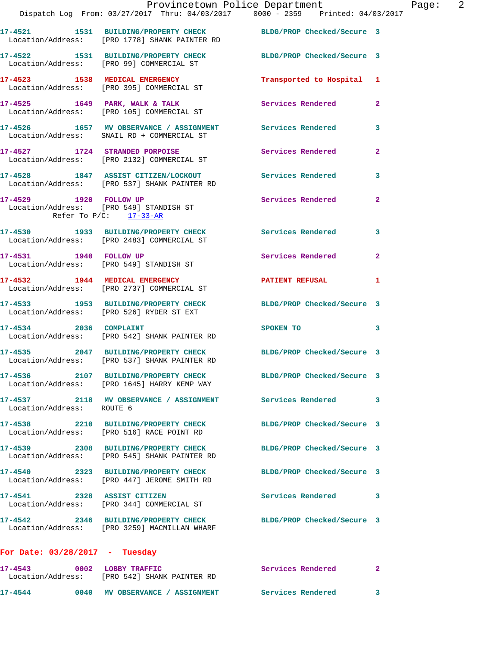|                                  | Dispatch Log From: 03/27/2017 Thru: 04/03/2017 0000 - 2359 Printed: 04/03/2017                                   | Provincetown Police Department | Page: 2        |  |
|----------------------------------|------------------------------------------------------------------------------------------------------------------|--------------------------------|----------------|--|
|                                  | 17-4521 1531 BUILDING/PROPERTY CHECK BLDG/PROP Checked/Secure 3<br>Location/Address: [PRO 1778] SHANK PAINTER RD |                                |                |  |
|                                  | 17-4522 1531 BUILDING/PROPERTY CHECK BLDG/PROP Checked/Secure 3<br>Location/Address: [PRO 99] COMMERCIAL ST      |                                |                |  |
|                                  | 17-4523 1538 MEDICAL EMERGENCY<br>Location/Address: [PRO 395] COMMERCIAL ST                                      | Transported to Hospital 1      |                |  |
|                                  | 17-4525 1649 PARK, WALK & TALK Services Rendered Location/Address: [PRO 105] COMMERCIAL ST                       |                                | $\mathbf{2}$   |  |
|                                  | 17-4526 1657 MV OBSERVANCE / ASSIGNMENT Services Rendered 3<br>Location/Address: SNAIL RD + COMMERCIAL ST        |                                |                |  |
|                                  | 17-4527 1724 STRANDED PORPOISE Services Rendered<br>Location/Address: [PRO 2132] COMMERCIAL ST                   |                                | $\overline{2}$ |  |
|                                  | 17-4528 1847 ASSIST CITIZEN/LOCKOUT Services Rendered 3<br>Location/Address: [PRO 537] SHANK PAINTER RD          |                                |                |  |
| Refer To $P/C:$ 17-33-AR         | 17-4529 1920 FOLLOW UP<br>Location/Address: [PRO 549] STANDISH ST                                                | Services Rendered              | $\mathbf{2}$   |  |
|                                  | 17-4530 1933 BUILDING/PROPERTY CHECK Services Rendered 3<br>Location/Address: [PRO 2483] COMMERCIAL ST           |                                |                |  |
|                                  | 17-4531 1940 FOLLOW UP<br>Location/Address: [PRO 549] STANDISH ST                                                | Services Rendered              | $\mathbf{2}$   |  |
|                                  | 17-4532 1944 MEDICAL EMERGENCY<br>Location/Address: [PRO 2737] COMMERCIAL ST                                     | PATIENT REFUSAL                | 1              |  |
|                                  | 17-4533 1953 BUILDING/PROPERTY CHECK BLDG/PROP Checked/Secure 3<br>Location/Address: [PRO 526] RYDER ST EXT      |                                |                |  |
| 17-4534 2036 COMPLAINT           | Location/Address: [PRO 542] SHANK PAINTER RD                                                                     | SPOKEN TO                      | 3              |  |
|                                  | 17-4535 2047 BUILDING/PROPERTY CHECK BLDG/PROP Checked/Secure 3<br>Location/Address: [PRO 537] SHANK PAINTER RD  |                                |                |  |
|                                  | 17-4536 2107 BUILDING/PROPERTY CHECK BLDG/PROP Checked/Secure 3<br>Location/Address: [PRO 1645] HARRY KEMP WAY   |                                |                |  |
| Location/Address: ROUTE 6        | 17-4537 2118 MV OBSERVANCE / ASSIGNMENT Services Rendered                                                        |                                | 3              |  |
|                                  | 17-4538 2210 BUILDING/PROPERTY CHECK BLDG/PROP Checked/Secure 3<br>Location/Address: [PRO 516] RACE POINT RD     |                                |                |  |
|                                  | 17-4539 2308 BUILDING/PROPERTY CHECK<br>Location/Address: [PRO 545] SHANK PAINTER RD                             | BLDG/PROP Checked/Secure 3     |                |  |
|                                  | 17-4540 2323 BUILDING/PROPERTY CHECK<br>Location/Address: [PRO 447] JEROME SMITH RD                              | BLDG/PROP Checked/Secure 3     |                |  |
|                                  | 17-4541 2328 ASSIST CITIZEN<br>Location/Address: [PRO 344] COMMERCIAL ST                                         | Services Rendered              | 3              |  |
|                                  | 17-4542 2346 BUILDING/PROPERTY CHECK BLDG/PROP Checked/Secure 3<br>Location/Address: [PRO 3259] MACMILLAN WHARF  |                                |                |  |
| For Date: $03/28/2017$ - Tuesday |                                                                                                                  |                                |                |  |
|                                  | 17-4543 0002 LOBBY TRAFFIC<br>Location/Address: [PRO 542] SHANK PAINTER RD                                       | Services Rendered              | $\mathbf{2}$   |  |

**17-4544 0040 MV OBSERVANCE / ASSIGNMENT Services Rendered 3**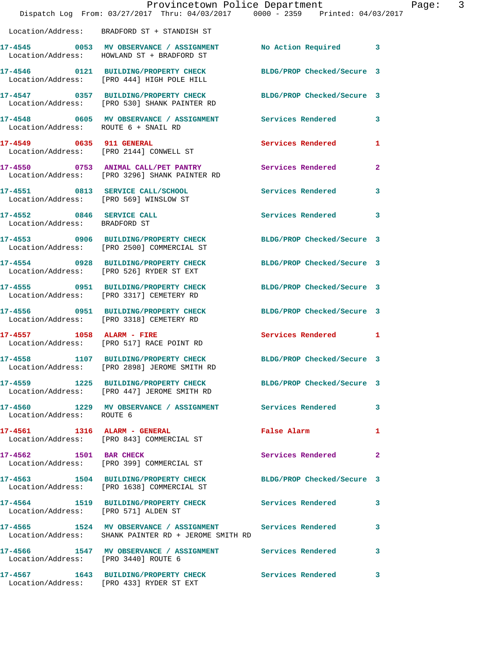|                                      | Dispatch Log From: 03/27/2017 Thru: 04/03/2017 0000 - 2359 Printed: 04/03/2017                                    | Provincetown Police Department | Page: 3      |
|--------------------------------------|-------------------------------------------------------------------------------------------------------------------|--------------------------------|--------------|
|                                      | Location/Address: BRADFORD ST + STANDISH ST                                                                       |                                |              |
|                                      | 17-4545 0053 MV OBSERVANCE / ASSIGNMENT No Action Required 3<br>Location/Address: HOWLAND ST + BRADFORD ST        |                                |              |
|                                      | 17-4546 0121 BUILDING/PROPERTY CHECK BLDG/PROP Checked/Secure 3<br>Location/Address: [PRO 444] HIGH POLE HILL     |                                |              |
|                                      | 17-4547 0357 BUILDING/PROPERTY CHECK BLDG/PROP Checked/Secure 3<br>Location/Address: [PRO 530] SHANK PAINTER RD   |                                |              |
| Location/Address: ROUTE 6 + SNAIL RD | 17-4548 0605 MV OBSERVANCE / ASSIGNMENT Services Rendered                                                         |                                | $\mathbf{3}$ |
|                                      | 17-4549 0635 911 GENERAL<br>Location/Address: [PRO 2144] CONWELL ST                                               | Services Rendered 1            |              |
|                                      | 17-4550 0753 ANIMAL CALL/PET PANTRY Services Rendered<br>Location/Address: [PRO 3296] SHANK PAINTER RD            |                                | $\mathbf{2}$ |
|                                      | 17-4551 0813 SERVICE CALL/SCHOOL 5ervices Rendered 3<br>Location/Address: [PRO 569] WINSLOW ST                    |                                |              |
| Location/Address: BRADFORD ST        | 17-4552 0846 SERVICE CALL                                                                                         | Services Rendered              | $\mathbf{3}$ |
|                                      | 17-4553 0906 BUILDING/PROPERTY CHECK BLDG/PROP Checked/Secure 3<br>Location/Address: [PRO 2500] COMMERCIAL ST     |                                |              |
|                                      | 17-4554 0928 BUILDING/PROPERTY CHECK<br>Location/Address: [PRO 526] RYDER ST EXT                                  | BLDG/PROP Checked/Secure 3     |              |
|                                      | 17-4555 0951 BUILDING/PROPERTY CHECK<br>Location/Address: [PRO 3317] CEMETERY RD                                  | BLDG/PROP Checked/Secure 3     |              |
|                                      | 17-4556 0951 BUILDING/PROPERTY CHECK<br>Location/Address: [PRO 3318] CEMETERY RD                                  | BLDG/PROP Checked/Secure 3     |              |
|                                      | 17-4557 1058 ALARM - FIRE<br>Location/Address: [PRO 517] RACE POINT RD                                            | Services Rendered 1            |              |
|                                      | 17-4558 1107 BUILDING/PROPERTY CHECK BLDG/PROP Checked/Secure 3<br>Location/Address: [PRO 2898] JEROME SMITH RD   |                                |              |
|                                      | 17-4559 1225 BUILDING/PROPERTY CHECK BLDG/PROP Checked/Secure 3<br>Location/Address: [PRO 447] JEROME SMITH RD    |                                |              |
| Location/Address: ROUTE 6            | 17-4560 1229 MV OBSERVANCE / ASSIGNMENT Services Rendered                                                         |                                | 3            |
|                                      | 17-4561 1316 ALARM - GENERAL<br>Location/Address: [PRO 843] COMMERCIAL ST                                         | False Alarm                    | 1            |
|                                      | 17-4562 1501 BAR CHECK<br>Location/Address: [PRO 399] COMMERCIAL ST                                               | Services Rendered              | $\mathbf{2}$ |
|                                      | 17-4563 1504 BUILDING/PROPERTY CHECK BLDG/PROP Checked/Secure 3<br>Location/Address: [PRO 1638] COMMERCIAL ST     |                                |              |
|                                      | 17-4564 1519 BUILDING/PROPERTY CHECK Services Rendered<br>Location/Address: [PRO 571] ALDEN ST                    |                                | 3            |
|                                      | 17-4565 1524 MV OBSERVANCE / ASSIGNMENT Services Rendered<br>Location/Address: SHANK PAINTER RD + JEROME SMITH RD |                                | 3            |
| Location/Address: [PRO 3440] ROUTE 6 | 17-4566               1547     MV  OBSERVANCE  /  ASSIGNMENT                  Services  Rendered                  |                                | 3            |
|                                      | 17-4567 1643 BUILDING/PROPERTY CHECK Services Rendered<br>Location/Address: [PRO 433] RYDER ST EXT                |                                | 3            |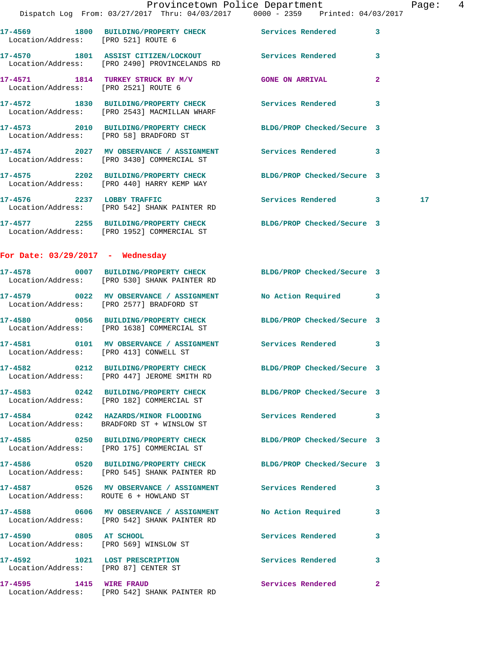**17-4571 1814 TURKEY STRUCK BY M/V GONE ON ARRIVAL 2**  Location/Address: [PRO 2521] ROUTE 6 **17-4572 1830 BUILDING/PROPERTY CHECK Services Rendered 3**  Location/Address: [PRO 2543] MACMILLAN WHARF

**17-4573 2010 BUILDING/PROPERTY CHECK BLDG/PROP Checked/Secure 3**  Location/Address: [PRO 58] BRADFORD ST

Location/Address: [PRO 2490] PROVINCELANDS RD

**17-4574 2027 MV OBSERVANCE / ASSIGNMENT Services Rendered 3**  Location/Address: [PRO 3430] COMMERCIAL ST

**17-4575 2202 BUILDING/PROPERTY CHECK BLDG/PROP Checked/Secure 3**  Location/Address: [PRO 440] HARRY KEMP WAY

**17-4576 2237 LOBBY TRAFFIC Services Rendered 3 17**  Location/Address: [PRO 542] SHANK PAINTER RD

Location/Address: [PRO 542] SHANK PAINTER RD

**17-4577 2255 BUILDING/PROPERTY CHECK BLDG/PROP Checked/Secure 3**  Location/Address: [PRO 1952] COMMERCIAL ST

## **For Date: 03/29/2017 - Wednesday**

**17-4578 0007 BUILDING/PROPERTY CHECK BLDG/PROP Checked/Secure 3**  Location/Address: [PRO 530] SHANK PAINTER RD **17-4579 0022 MV OBSERVANCE / ASSIGNMENT No Action Required 3**  Location/Address: [PRO 2577] BRADFORD ST **17-4580 0056 BUILDING/PROPERTY CHECK BLDG/PROP Checked/Secure 3**  Location/Address: [PRO 1638] COMMERCIAL ST **17-4581 0101 MV OBSERVANCE / ASSIGNMENT Services Rendered 3**  Location/Address: [PRO 413] CONWELL ST **17-4582 0212 BUILDING/PROPERTY CHECK BLDG/PROP Checked/Secure 3**  [PRO 447] JEROME SMITH RD **17-4583 0242 BUILDING/PROPERTY CHECK BLDG/PROP Checked/Secure 3**  Location/Address: [PRO 182] COMMERCIAL ST **17-4584 0242 HAZARDS/MINOR FLOODING Services Rendered 3**  Location/Address: BRADFORD ST + WINSLOW ST **17-4585 0250 BUILDING/PROPERTY CHECK BLDG/PROP Checked/Secure 3**  Location/Address: [PRO 175] COMMERCIAL ST **17-4586 0520 BUILDING/PROPERTY CHECK BLDG/PROP Checked/Secure 3**  Location/Address: [PRO 545] SHANK PAINTER RD **17-4587 0526 MV OBSERVANCE / ASSIGNMENT Services Rendered 3**  Location/Address: ROUTE 6 + HOWLAND ST **17-4588 0606 MV OBSERVANCE / ASSIGNMENT No Action Required 3**  Location/Address: [PRO 542] SHANK PAINTER RD **17-4590 0805 AT SCHOOL Services Rendered 3**  Location/Address: [PRO 569] WINSLOW ST **17-4592 1021 LOST PRESCRIPTION Services Rendered 3**  Location/Address: [PRO 87] CENTER ST **17-4595 1415 WIRE FRAUD Services Rendered 2**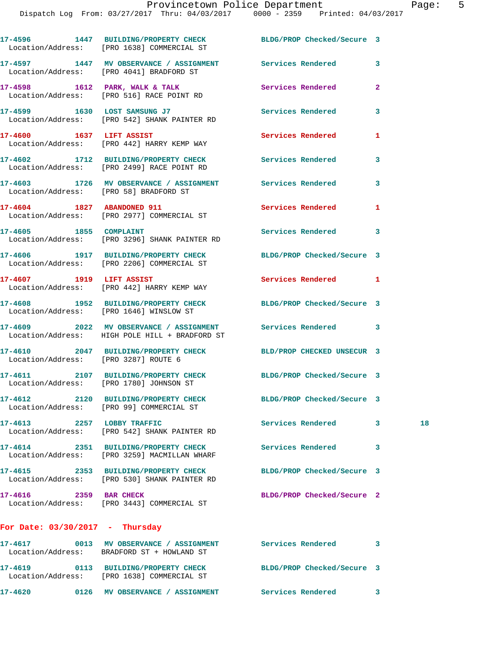|                                         | 17-4596 1447 BUILDING/PROPERTY CHECK BLDG/PROP Checked/Secure 3<br>Location/Address: [PRO 1638] COMMERCIAL ST |                            |              |    |
|-----------------------------------------|---------------------------------------------------------------------------------------------------------------|----------------------------|--------------|----|
|                                         | 17-4597 1447 MV OBSERVANCE / ASSIGNMENT Services Rendered 3<br>Location/Address: [PRO 4041] BRADFORD ST       |                            |              |    |
|                                         | 17-4598 1612 PARK, WALK & TALK<br>Location/Address: [PRO 516] RACE POINT RD                                   | Services Rendered          | $\mathbf{2}$ |    |
|                                         | 17-4599 1630 LOST SAMSUNG J7<br>Location/Address: [PRO 542] SHANK PAINTER RD                                  | Services Rendered          | 3            |    |
| 17-4600 1637 LIFT ASSIST                | Location/Address: [PRO 442] HARRY KEMP WAY                                                                    | <b>Services Rendered</b>   | 1            |    |
|                                         | 17-4602 1712 BUILDING/PROPERTY CHECK Services Rendered<br>Location/Address: [PRO 2499] RACE POINT RD          |                            | 3            |    |
| Location/Address: [PRO 58] BRADFORD ST  | 17-4603 1726 MV OBSERVANCE / ASSIGNMENT Services Rendered                                                     |                            | 3            |    |
|                                         | 17-4604 1827 ABANDONED 911<br>Location/Address: [PRO 2977] COMMERCIAL ST                                      | <b>Services Rendered</b>   | 1            |    |
| 17-4605 1855 COMPLAINT                  | Location/Address: [PRO 3296] SHANK PAINTER RD                                                                 | Services Rendered 3        |              |    |
|                                         | 17-4606 1917 BUILDING/PROPERTY CHECK<br>Location/Address: [PRO 2206] COMMERCIAL ST                            | BLDG/PROP Checked/Secure 3 |              |    |
| 17-4607 1919 LIFT ASSIST                | Location/Address: [PRO 442] HARRY KEMP WAY                                                                    | Services Rendered 1        |              |    |
|                                         | 17-4608 1952 BUILDING/PROPERTY CHECK<br>Location/Address: [PRO 1646] WINSLOW ST                               | BLDG/PROP Checked/Secure 3 |              |    |
|                                         | 17-4609 2022 MV OBSERVANCE / ASSIGNMENT Services Rendered 3<br>Location/Address: HIGH POLE HILL + BRADFORD ST |                            |              |    |
| Location/Address: [PRO 3287] ROUTE 6    | 17-4610 2047 BUILDING/PROPERTY CHECK BLD/PROP CHECKED UNSECUR 3                                               |                            |              |    |
| Location/Address: [PRO 1780] JOHNSON ST | 17-4611 2107 BUILDING/PROPERTY CHECK BLDG/PROP Checked/Secure 3                                               |                            |              |    |
|                                         | 17-4612 2120 BUILDING/PROPERTY CHECK<br>Location/Address: [PRO 99] COMMERCIAL ST                              | BLDG/PROP Checked/Secure 3 |              |    |
| 17-4613 2257 LOBBY TRAFFIC              | Location/Address: [PRO 542] SHANK PAINTER RD                                                                  | Services Rendered          | 3            | 18 |
|                                         | 17-4614 2351 BUILDING/PROPERTY CHECK<br>Location/Address: [PRO 3259] MACMILLAN WHARF                          | <b>Services Rendered</b>   | 3            |    |
|                                         | 17-4615 2353 BUILDING/PROPERTY CHECK<br>Location/Address: [PRO 530] SHANK PAINTER RD                          | BLDG/PROP Checked/Secure 3 |              |    |
| 17-4616 2359 BAR CHECK                  | Location/Address: [PRO 3443] COMMERCIAL ST                                                                    | BLDG/PROP Checked/Secure 2 |              |    |
| For Date: $03/30/2017$ - Thursday       |                                                                                                               |                            |              |    |
|                                         | 17-4617 6013 MV OBSERVANCE / ASSIGNMENT Services Rendered<br>Location/Address: BRADFORD ST + HOWLAND ST       |                            | 3            |    |
|                                         | 17-4619 0113 BUILDING/PROPERTY CHECK<br>Location/Address: [PRO 1638] COMMERCIAL ST                            | BLDG/PROP Checked/Secure 3 |              |    |

**17-4620 0126 MV OBSERVANCE / ASSIGNMENT Services Rendered 3**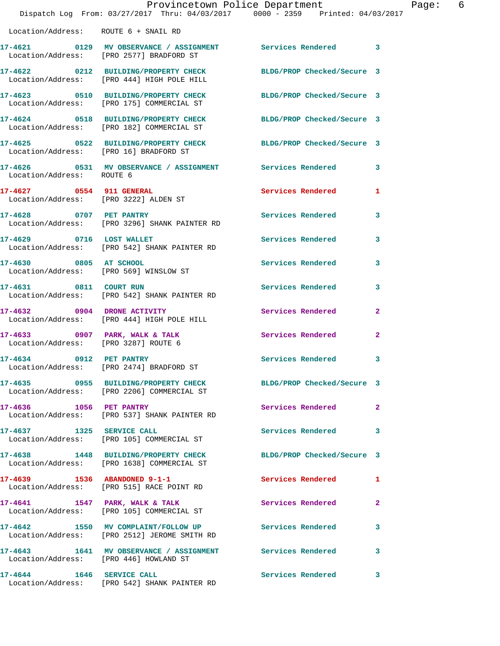|                                        | Provincetown Police Department<br>Dispatch Log From: 03/27/2017 Thru: 04/03/2017 0000 - 2359 Printed: 04/03/2017 |                            | Page: 6      |  |
|----------------------------------------|------------------------------------------------------------------------------------------------------------------|----------------------------|--------------|--|
| Location/Address: ROUTE 6 + SNAIL RD   |                                                                                                                  |                            |              |  |
|                                        | 17-4621 0129 MV OBSERVANCE / ASSIGNMENT Services Rendered 3<br>Location/Address: [PRO 2577] BRADFORD ST          |                            |              |  |
|                                        | 17-4622 0212 BUILDING/PROPERTY CHECK BLDG/PROP Checked/Secure 3<br>Location/Address: [PRO 444] HIGH POLE HILL    |                            |              |  |
|                                        | 17-4623 0510 BUILDING/PROPERTY CHECK BLDG/PROP Checked/Secure 3<br>Location/Address: [PRO 175] COMMERCIAL ST     |                            |              |  |
|                                        | 17-4624 0518 BUILDING/PROPERTY CHECK BLDG/PROP Checked/Secure 3<br>Location/Address: [PRO 182] COMMERCIAL ST     |                            |              |  |
|                                        | 17-4625 0522 BUILDING/PROPERTY CHECK BLDG/PROP Checked/Secure 3<br>Location/Address: [PRO 16] BRADFORD ST        |                            |              |  |
| Location/Address: ROUTE 6              | 17-4626 0531 MV OBSERVANCE / ASSIGNMENT Services Rendered 3                                                      |                            |              |  |
| Location/Address: [PRO 3222] ALDEN ST  | 17-4627 0554 911 GENERAL                                                                                         | Services Rendered          | $\mathbf{1}$ |  |
| 17-4628 0707 PET PANTRY                | Location/Address: [PRO 3296] SHANK PAINTER RD                                                                    | Services Rendered 3        |              |  |
|                                        | 17-4629 0716 LOST WALLET<br>Location/Address: [PRO 542] SHANK PAINTER RD                                         | Services Rendered 3        |              |  |
| 17-4630 0805 AT SCHOOL                 | Location/Address: [PRO 569] WINSLOW ST                                                                           | Services Rendered          | 3            |  |
|                                        | 17-4631 0811 COURT RUN<br>Location/Address: [PRO 542] SHANK PAINTER RD                                           | Services Rendered 3        |              |  |
|                                        | 17-4632 0904 DRONE ACTIVITY<br>Location/Address: [PRO 444] HIGH POLE HILL                                        | Services Rendered          | $\mathbf{2}$ |  |
| Location/Address: [PRO 3287] ROUTE 6   | 17-4633 0907 PARK, WALK & TALK 3 Services Rendered 2                                                             |                            |              |  |
| 17-4634 0912 PET PANTRY                | Location/Address: [PRO 2474] BRADFORD ST                                                                         | Services Rendered 3        |              |  |
|                                        | 17-4635 0955 BUILDING/PROPERTY CHECK BLDG/PROP Checked/Secure 3<br>Location/Address: [PRO 2206] COMMERCIAL ST    |                            |              |  |
| 17-4636 1056 PET PANTRY                | Location/Address: [PRO 537] SHANK PAINTER RD                                                                     | Services Rendered 2        |              |  |
|                                        | 17-4637 1325 SERVICE CALL<br>Location/Address: [PRO 105] COMMERCIAL ST                                           | Services Rendered          | 3            |  |
|                                        | 17-4638 1448 BUILDING/PROPERTY CHECK BLDG/PROP Checked/Secure 3<br>Location/Address: [PRO 1638] COMMERCIAL ST    |                            |              |  |
|                                        | 17-4639 1536 ABANDONED 9-1-1<br>Location/Address: [PRO 515] RACE POINT RD                                        | Services Rendered 1        |              |  |
|                                        | 17-4641 1547 PARK, WALK & TALK<br>Location/Address: [PRO 105] COMMERCIAL ST                                      | Services Rendered          | 2            |  |
|                                        | 17-4642 1550 MV COMPLAINT/FOLLOW UP Services Rendered<br>Location/Address: [PRO 2512] JEROME SMITH RD            |                            | 3            |  |
| Location/Address: [PRO 446] HOWLAND ST | 17-4643 1641 MV OBSERVANCE / ASSIGNMENT Services Rendered                                                        |                            | 3            |  |
|                                        | 17-4644 1646 SERVICE CALL<br>Location/Address: [PRO 542] SHANK PAINTER RD                                        | <b>Services Rendered</b> 3 |              |  |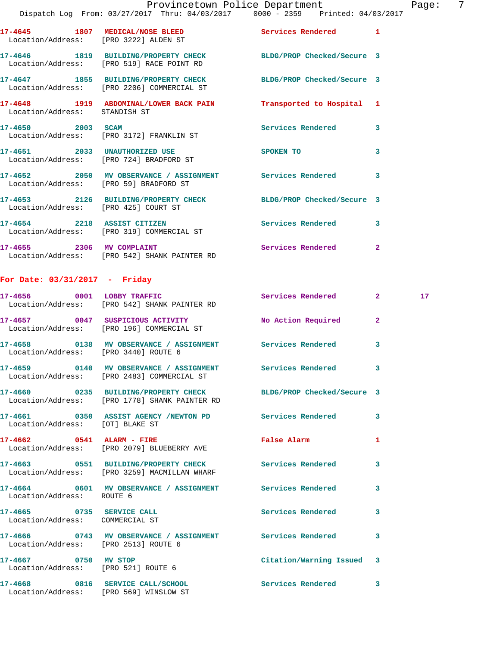| Location/Address: [PRO 3222] ALDEN ST | 17-4645 1807 MEDICAL/NOSE BLEED                                                                               | <b>Services Rendered</b> | $\mathbf{1}$ |    |
|---------------------------------------|---------------------------------------------------------------------------------------------------------------|--------------------------|--------------|----|
|                                       | 17-4646 1819 BUILDING/PROPERTY CHECK BLDG/PROP Checked/Secure 3<br>Location/Address: [PRO 519] RACE POINT RD  |                          |              |    |
|                                       | 17-4647 1855 BUILDING/PROPERTY CHECK BLDG/PROP Checked/Secure 3<br>Location/Address: [PRO 2206] COMMERCIAL ST |                          |              |    |
| Location/Address: STANDISH ST         | 17-4648 1919 ABDOMINAL/LOWER BACK PAIN Transported to Hospital 1                                              |                          |              |    |
|                                       | 17-4650 2003 SCAM<br>Location/Address: [PRO 3172] FRANKLIN ST                                                 | <b>Services Rendered</b> | 3            |    |
|                                       | 17-4651 2033 UNAUTHORIZED USE<br>Location/Address: [PRO 724] BRADFORD ST                                      | SPOKEN TO                | 3            |    |
|                                       | 17-4652 2050 MV OBSERVANCE / ASSIGNMENT Services Rendered<br>Location/Address: [PRO 59] BRADFORD ST           |                          | 3            |    |
| Location/Address: [PRO 425] COURT ST  | 17-4653 2126 BUILDING/PROPERTY CHECK BLDG/PROP Checked/Secure 3                                               |                          |              |    |
|                                       | 17-4654 2218 ASSIST CITIZEN<br>Location/Address: [PRO 319] COMMERCIAL ST                                      | Services Rendered        | 3            |    |
|                                       | 17-4655 2306 MV COMPLAINT<br>Location/Address: [PRO 542] SHANK PAINTER RD                                     | <b>Services Rendered</b> | $\mathbf{2}$ |    |
| For Date: $03/31/2017$ - Friday       |                                                                                                               |                          |              |    |
| 17-4656 0001 LOBBY TRAFFIC            |                                                                                                               | Services Rendered 2      |              | 17 |

|                                                              | TI-4000 VVVI LODDI IKAFFIC<br>Location/Address: [PRO 542] SHANK PAINTER RD                                       | per vices vendered        |                         |
|--------------------------------------------------------------|------------------------------------------------------------------------------------------------------------------|---------------------------|-------------------------|
|                                                              | 17-4657 0047 SUSPICIOUS ACTIVITY<br>Location/Address: [PRO 196] COMMERCIAL ST                                    | No Action Required        | $\overline{2}$          |
| Location/Address: [PRO 3440] ROUTE 6                         |                                                                                                                  |                           | 3                       |
|                                                              | Location/Address: [PRO 2483] COMMERCIAL ST                                                                       |                           | 3.                      |
|                                                              | 17-4660 0235 BUILDING/PROPERTY CHECK BLDG/PROP Checked/Secure 3<br>Location/Address: [PRO 1778] SHANK PAINTER RD |                           |                         |
| Location/Address: [OT] BLAKE ST                              | 17-4661  0350  ASSIST AGENCY /NEWTON PD  Services Rendered                                                       |                           | $\mathbf{3}$            |
|                                                              | 17-4662 0541 ALARM - FIRE<br>Location/Address: [PRO 2079] BLUEBERRY AVE                                          | False Alarm               | $\mathbf{1}$            |
|                                                              | 17-4663  0551 BUILDING/PROPERTY CHECK Services Rendered<br>Location/Address: [PRO 3259] MACMILLAN WHARF          |                           | 3                       |
| Location/Address: ROUTE 6                                    | 17-4664 0601 MV OBSERVANCE / ASSIGNMENT Services Rendered                                                        |                           | $\mathbf{3}$            |
| 17-4665 0735 SERVICE CALL<br>Location/Address: COMMERCIAL ST |                                                                                                                  | <b>Services Rendered</b>  | $\overline{\mathbf{3}}$ |
| Location/Address: [PRO 2513] ROUTE 6                         | 17-4666 6743 MV OBSERVANCE / ASSIGNMENT Services Rendered                                                        |                           | $\mathbf{3}$            |
| 17-4667 0750 MV STOP<br>Location/Address: [PRO 521] ROUTE 6  |                                                                                                                  | Citation/Warning Issued 3 |                         |
| Location/Address: [PRO 569] WINSLOW ST                       | 17-4668 0816 SERVICE CALL/SCHOOL                                                                                 | <b>Services Rendered</b>  | 3                       |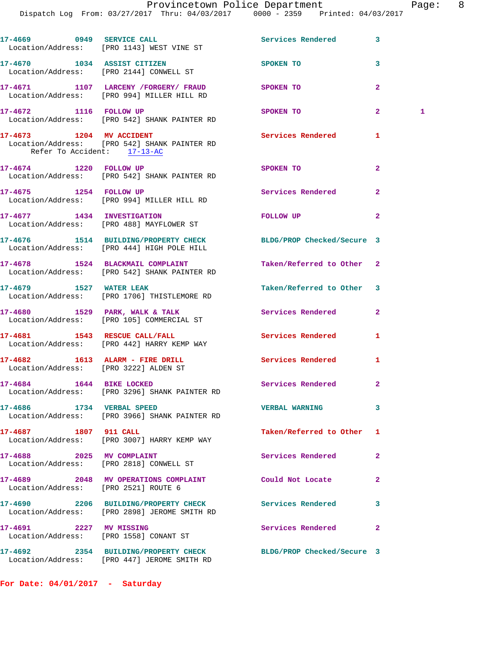|                                                                          | 17-4669 0949 SERVICE CALL<br>Location/Address: [PRO 1143] WEST VINE ST                                        | Services Rendered        | 3              |   |
|--------------------------------------------------------------------------|---------------------------------------------------------------------------------------------------------------|--------------------------|----------------|---|
|                                                                          | 17-4670 1034 ASSIST CITIZEN<br>Location/Address: [PRO 2144] CONWELL ST                                        | SPOKEN TO                | 3              |   |
|                                                                          | 17-4671 1107 LARCENY /FORGERY/ FRAUD<br>Location/Address: [PRO 994] MILLER HILL RD                            | <b>SPOKEN TO</b>         | $\overline{a}$ |   |
| 17-4672 1116 FOLLOW UP                                                   | Location/Address: [PRO 542] SHANK PAINTER RD                                                                  | SPOKEN TO                | $\overline{2}$ | 1 |
| Refer To Accident: 17-13-AC                                              | 17-4673 1204 MV ACCIDENT<br>Location/Address: [PRO 542] SHANK PAINTER RD                                      | Services Rendered        | 1              |   |
| 17-4674 1220 FOLLOW UP                                                   | Location/Address: [PRO 542] SHANK PAINTER RD                                                                  | SPOKEN TO                | $\mathbf{2}$   |   |
| 17-4675 1254 FOLLOW UP                                                   | Location/Address: [PRO 994] MILLER HILL RD                                                                    | Services Rendered        | $\mathbf{2}$   |   |
| 17-4677 1434 INVESTIGATION                                               | Location/Address: [PRO 488] MAYFLOWER ST                                                                      | FOLLOW UP                | $\overline{a}$ |   |
|                                                                          | 17-4676 1514 BUILDING/PROPERTY CHECK BLDG/PROP Checked/Secure 3<br>Location/Address: [PRO 444] HIGH POLE HILL |                          |                |   |
|                                                                          | 17-4678 1524 BLACKMAIL COMPLAINT<br>Location/Address: [PRO 542] SHANK PAINTER RD                              | Taken/Referred to Other  | $\mathbf{2}$   |   |
|                                                                          | 17-4679 1527 WATER LEAK<br>Location/Address: [PRO 1706] THISTLEMORE RD                                        | Taken/Referred to Other  | 3              |   |
|                                                                          | 17-4680 1529 PARK, WALK & TALK<br>Location/Address: [PRO 105] COMMERCIAL ST                                   | Services Rendered        | $\mathbf{2}$   |   |
|                                                                          | 17-4681 1543 RESCUE CALL/FALL<br>Location/Address: [PRO 442] HARRY KEMP WAY                                   | Services Rendered        | 1              |   |
| 17-4682 1613 ALARM - FIRE DRILL<br>Location/Address: [PRO 3222] ALDEN ST |                                                                                                               | Services Rendered        | 1              |   |
| 17-4684   1644 BIKE LOCKED                                               | Location/Address: [PRO 3296] SHANK PAINTER RD                                                                 | Services Rendered        | $\mathbf{2}$   |   |
| 17-4686 1734 VERBAL SPEED                                                | Location/Address: [PRO 3966] SHANK PAINTER RD                                                                 | <b>VERBAL WARNING</b>    | 3              |   |
| 17-4687 1807 911 CALL                                                    | Location/Address: [PRO 3007] HARRY KEMP WAY                                                                   | Taken/Referred to Other  | 1              |   |
| 17-4688 2025 MV COMPLAINT                                                | Location/Address: [PRO 2818] CONWELL ST                                                                       | Services Rendered        | $\overline{a}$ |   |
| Location/Address: [PRO 2521] ROUTE 6                                     | 17-4689 2048 MV OPERATIONS COMPLAINT                                                                          | Could Not Locate         | $\overline{a}$ |   |
|                                                                          | 17-4690 2206 BUILDING/PROPERTY CHECK<br>Location/Address: [PRO 2898] JEROME SMITH RD                          | <b>Services Rendered</b> | 3              |   |
| 17-4691 2227 MV MISSING                                                  | Location/Address: [PRO 1558] CONANT ST                                                                        | Services Rendered        | $\overline{2}$ |   |
|                                                                          |                                                                                                               |                          |                |   |

**For Date: 04/01/2017 - Saturday**

Location/Address: [PRO 447] JEROME SMITH RD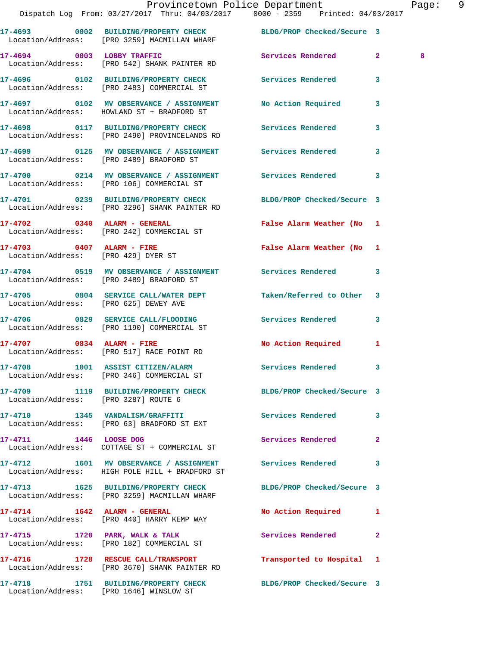|                                       | PISPACCII LOG FIOM ( 2/27/2017 - 1111u 19/03/2017 - 10000 - 2339 - PIINCEO ( 19/03/2017                          |                            |                   |
|---------------------------------------|------------------------------------------------------------------------------------------------------------------|----------------------------|-------------------|
|                                       | 17-4693 0002 BUILDING/PROPERTY CHECK BLDG/PROP Checked/Secure 3<br>Location/Address: [PRO 3259] MACMILLAN WHARF  |                            |                   |
|                                       | 17-4694 0003 LOBBY TRAFFIC<br>Location/Address: [PRO 542] SHANK PAINTER RD                                       | <b>Services Rendered</b>   | 8<br>$\mathbf{2}$ |
|                                       | 17-4696 0102 BUILDING/PROPERTY CHECK Services Rendered<br>Location/Address: [PRO 2483] COMMERCIAL ST             |                            | 3                 |
|                                       | 17-4697 0102 MV OBSERVANCE / ASSIGNMENT No Action Required<br>Location/Address: HOWLAND ST + BRADFORD ST         |                            | 3                 |
|                                       | 17-4698 0117 BUILDING/PROPERTY CHECK Services Rendered<br>Location/Address: [PRO 2490] PROVINCELANDS RD          |                            | 3                 |
|                                       | 17-4699 		 0125 MV OBSERVANCE / ASSIGNMENT Services Rendered<br>Location/Address: [PRO 2489] BRADFORD ST         |                            | 3                 |
|                                       | 17-4700 0214 MV OBSERVANCE / ASSIGNMENT Services Rendered<br>Location/Address: [PRO 106] COMMERCIAL ST           |                            | 3                 |
|                                       | 17-4701 0239 BUILDING/PROPERTY CHECK BLDG/PROP Checked/Secure 3<br>Location/Address: [PRO 3296] SHANK PAINTER RD |                            |                   |
|                                       | $17-4702$ 0340 ALARM - GENERAL<br>Location/Address: [PRO 242] COMMERCIAL ST                                      | False Alarm Weather (No 1  |                   |
| 17-4703 0407 ALARM - FIRE             | Location/Address: [PRO 429] DYER ST                                                                              | False Alarm Weather (No    | $\mathbf{1}$      |
|                                       | 17-4704 0519 MV OBSERVANCE / ASSIGNMENT Services Rendered<br>Location/Address: [PRO 2489] BRADFORD ST            |                            | 3                 |
| Location/Address: [PRO 625] DEWEY AVE | 17-4705 0804 SERVICE CALL/WATER DEPT                                                                             | Taken/Referred to Other    | 3                 |
|                                       | 17-4706 6829 SERVICE CALL/FLOODING Services Rendered<br>Location/Address: [PRO 1190] COMMERCIAL ST               |                            | 3                 |
| $17-4707$ 0834 ALARM - FIRE           | Location/Address: [PRO 517] RACE POINT RD                                                                        | No Action Required         | $\mathbf{1}$      |
|                                       | 17-4708 1001 ASSIST CITIZEN/ALARM Services Rendered<br>Location/Address: [PRO 346] COMMERCIAL ST                 |                            | 3                 |
| Location/Address: [PRO 3287] ROUTE 6  | 17-4709 1119 BUILDING/PROPERTY CHECK BLDG/PROP Checked/Secure 3                                                  |                            |                   |
|                                       | 17-4710 1345 VANDALISM/GRAFFITI<br>Location/Address: [PRO 63] BRADFORD ST EXT                                    | Services Rendered          | 3                 |
| 17-4711 1446 LOOSE DOG                | Location/Address: COTTAGE ST + COMMERCIAL ST                                                                     | Services Rendered          | $\overline{a}$    |
|                                       | 17-4712 1601 MV OBSERVANCE / ASSIGNMENT<br>Location/Address: HIGH POLE HILL + BRADFORD ST                        | <b>Services Rendered</b>   | 3                 |
|                                       | 17-4713 1625 BUILDING/PROPERTY CHECK<br>Location/Address: [PRO 3259] MACMILLAN WHARF                             | BLDG/PROP Checked/Secure 3 |                   |
|                                       | 17-4714 1642 ALARM - GENERAL<br>Location/Address: [PRO 440] HARRY KEMP WAY                                       | No Action Required         | 1                 |
|                                       | 17-4715 1720 PARK, WALK & TALK<br>Location/Address: [PRO 182] COMMERCIAL ST                                      | Services Rendered          | $\mathbf{2}$      |
|                                       | 17-4716 1728 RESCUE CALL/TRANSPORT<br>Location/Address: [PRO 3670] SHANK PAINTER RD                              | Transported to Hospital    | 1                 |
|                                       |                                                                                                                  | BLDG/PROP Checked/Secure 3 |                   |

Location/Address: [PRO 1646] WINSLOW ST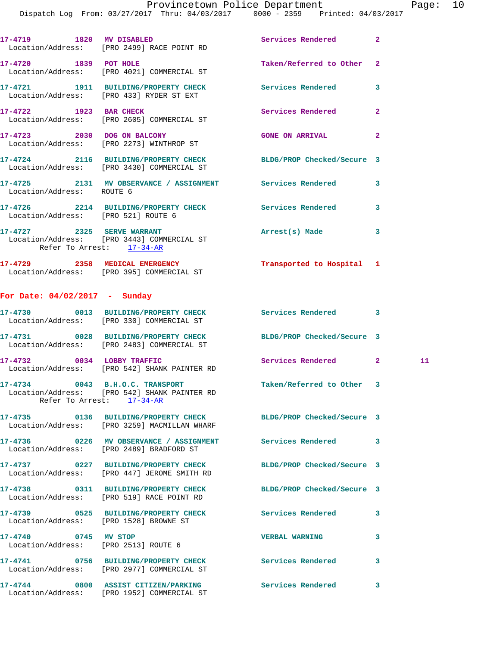|                                                         | Dispatch Log From: 03/27/2017 Thru: 04/03/2017 0000 - 2359 Printed: 04/03/2017                                  |                            |                |    |
|---------------------------------------------------------|-----------------------------------------------------------------------------------------------------------------|----------------------------|----------------|----|
|                                                         | 17-4719 1820 MV DISABLED<br>Location/Address: [PRO 2499] RACE POINT RD                                          | <b>Services Rendered</b>   | $\mathbf{2}$   |    |
| 17-4720 1839 POT HOLE                                   | Location/Address: [PRO 4021] COMMERCIAL ST                                                                      | Taken/Referred to Other    | 2              |    |
|                                                         | 17-4721 1911 BUILDING/PROPERTY CHECK<br>Location/Address: [PRO 433] RYDER ST EXT                                | Services Rendered          | 3              |    |
|                                                         | 17-4722 1923 BAR CHECK<br>Location/Address: [PRO 2605] COMMERCIAL ST                                            | Services Rendered          | $\mathbf{2}$   |    |
|                                                         | 17-4723 2030 DOG ON BALCONY<br>Location/Address: [PRO 2273] WINTHROP ST                                         | <b>GONE ON ARRIVAL</b>     | $\overline{a}$ |    |
|                                                         | 17-4724 2116 BUILDING/PROPERTY CHECK BLDG/PROP Checked/Secure 3<br>Location/Address: [PRO 3430] COMMERCIAL ST   |                            |                |    |
| Location/Address: ROUTE 6                               | 17-4725 2131 MV OBSERVANCE / ASSIGNMENT Services Rendered                                                       |                            | 3              |    |
|                                                         | 17-4726 2214 BUILDING/PROPERTY CHECK Services Rendered<br>Location/Address: [PRO 521] ROUTE 6                   |                            | 3              |    |
| 17-4727 2325 SERVE WARRANT<br>Refer To Arrest: 17-34-AR | Location/Address: [PRO 3443] COMMERCIAL ST                                                                      | Arrest(s) Made             | 3              |    |
|                                                         | 17-4729 2358 MEDICAL EMERGENCY<br>Location/Address: [PRO 395] COMMERCIAL ST                                     | Transported to Hospital 1  |                |    |
| For Date: 04/02/2017 - Sunday                           |                                                                                                                 |                            |                |    |
|                                                         | 17-4730 0013 BUILDING/PROPERTY CHECK Services Rendered<br>Location/Address: [PRO 330] COMMERCIAL ST             |                            | 3              |    |
|                                                         | 17-4731 0028 BUILDING/PROPERTY CHECK BLDG/PROP Checked/Secure 3<br>Location/Address: [PRO 2483] COMMERCIAL ST   |                            |                |    |
|                                                         | 17-4732 0034 LOBBY TRAFFIC<br>Location/Address: [PRO 542] SHANK PAINTER RD                                      | Services Rendered          | $\mathbf{2}$   | 11 |
|                                                         | 17-4734 0043 B.H.O.C. TRANSPORT<br>Location/Address: [PRO 542] SHANK PAINTER RD<br>Refer To Arrest: 17-34-AR    | Taken/Referred to Other 3  |                |    |
|                                                         | 17-4735 0136 BUILDING/PROPERTY CHECK BLDG/PROP Checked/Secure 3<br>Location/Address: [PRO 3259] MACMILLAN WHARF |                            |                |    |
|                                                         | 17-4736 0226 MV OBSERVANCE / ASSIGNMENT Services Rendered<br>Location/Address: [PRO 2489] BRADFORD ST           |                            | 3              |    |
|                                                         | 17-4737 0227 BUILDING/PROPERTY CHECK<br>Location/Address: [PRO 447] JEROME SMITH RD                             | BLDG/PROP Checked/Secure 3 |                |    |
|                                                         | 17-4738 0311 BUILDING/PROPERTY CHECK BLDG/PROP Checked/Secure 3<br>Location/Address: [PRO 519] RACE POINT RD    |                            |                |    |
|                                                         | 17-4739 0525 BUILDING/PROPERTY CHECK Services Rendered<br>Location/Address: [PRO 1528] BROWNE ST                |                            | 3              |    |
| 17-4740 0745 MV STOP                                    | Location/Address: [PRO 2513] ROUTE 6                                                                            | <b>VERBAL WARNING</b>      | 3              |    |
|                                                         | 17-4741 0756 BUILDING/PROPERTY CHECK Services Rendered<br>Location/Address: [PRO 2977] COMMERCIAL ST            |                            | 3              |    |
|                                                         | 17-4744 0800 ASSIST CITIZEN/PARKING<br>Location/Address: [PRO 1952] COMMERCIAL ST                               | Services Rendered          | 3              |    |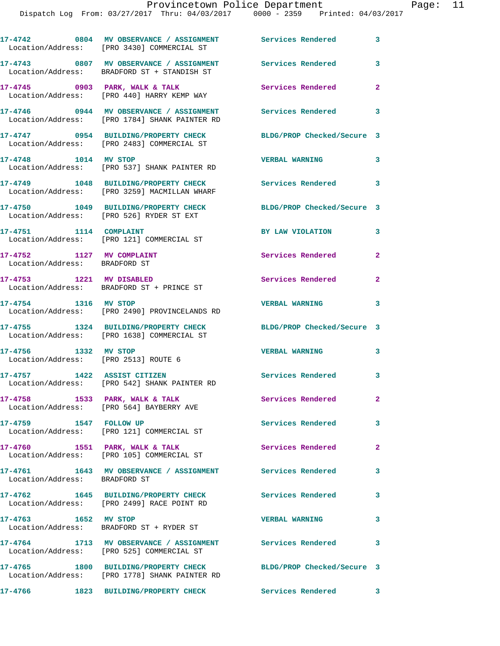Dispatch Log From: 03/27/2017 Thru: 04/03/2017 0000 - 2359 Printed: 04/03/2017 **17-4742 0804 MV OBSERVANCE / ASSIGNMENT Services Rendered 3**  Location/Address: [PRO 3430] COMMERCIAL ST **17-4743 0807 MV OBSERVANCE / ASSIGNMENT Services Rendered 3**  Location/Address: BRADFORD ST + STANDISH ST **17-4745 0903 PARK, WALK & TALK Services Rendered 2**  Location/Address: [PRO 440] HARRY KEMP WAY **17-4746 0944 MV OBSERVANCE / ASSIGNMENT Services Rendered 3**  Location/Address: [PRO 1784] SHANK PAINTER RD **17-4747 0954 BUILDING/PROPERTY CHECK BLDG/PROP Checked/Secure 3**  Location/Address: [PRO 2483] COMMERCIAL ST **17-4748 1014 MV STOP VERBAL WARNING 3**  Location/Address: [PRO 537] SHANK PAINTER RD **17-4749 1048 BUILDING/PROPERTY CHECK Services Rendered 3**  Location/Address: [PRO 3259] MACMILLAN WHARF **17-4750 1049 BUILDING/PROPERTY CHECK BLDG/PROP Checked/Secure 3**  Location/Address: [PRO 526] RYDER ST EXT **17-4751 1114 COMPLAINT BY LAW VIOLATION 3**  Location/Address: [PRO 121] COMMERCIAL ST 17-4752 1127 MV COMPLAINT **Services Rendered** 2 Location/Address: BRADFORD ST **17-4753 1221 MV DISABLED Services Rendered 2**  Location/Address: BRADFORD ST + PRINCE ST **17-4754 1316 MV STOP VERBAL WARNING 3**  Location/Address: [PRO 2490] PROVINCELANDS RD **17-4755 1324 BUILDING/PROPERTY CHECK BLDG/PROP Checked/Secure 3**  Location/Address: [PRO 1638] COMMERCIAL ST **17-4756 1332 MV STOP VERBAL WARNING 3**  Location/Address: [PRO 2513] ROUTE 6 **17-4757 1422 ASSIST CITIZEN Services Rendered 3**  Location/Address: [PRO 542] SHANK PAINTER RD **17-4758 1533 PARK, WALK & TALK Services Rendered 2**  Location/Address: [PRO 564] BAYBERRY AVE **17-4759 1547 FOLLOW UP Services Rendered 3**  Location/Address: [PRO 121] COMMERCIAL ST 17-4760 **1551 PARK, WALK & TALK Services Rendered** 2 Location/Address: [PRO 105] COMMERCIAL ST **17-4761 1643 MV OBSERVANCE / ASSIGNMENT Services Rendered 3**  Location/Address: BRADFORD ST **17-4762 1645 BUILDING/PROPERTY CHECK Services Rendered 3**  Location/Address: [PRO 2499] RACE POINT RD **17-4763 1652 MV STOP VERBAL WARNING 3**  Location/Address: BRADFORD ST + RYDER ST **17-4764 1713 MV OBSERVANCE / ASSIGNMENT Services Rendered 3**  Location/Address: [PRO 525] COMMERCIAL ST **17-4765 1800 BUILDING/PROPERTY CHECK BLDG/PROP Checked/Secure 3**  Location/Address: [PRO 1778] SHANK PAINTER RD

**17-4766 1823 BUILDING/PROPERTY CHECK Services Rendered 3**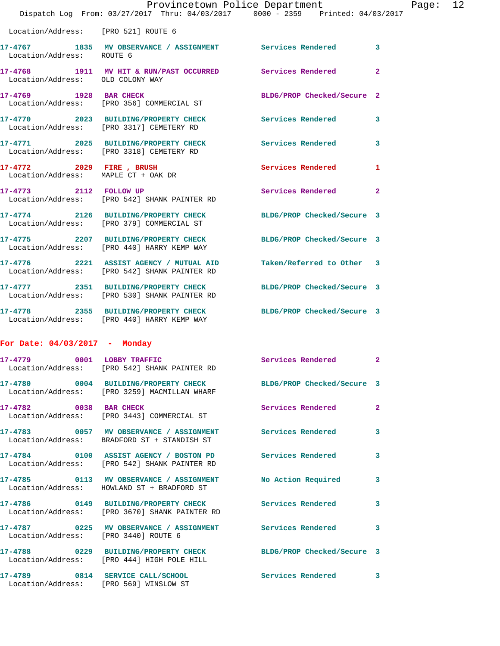|                                                                  | Provincetown Police Department                                                                        |                            |                |
|------------------------------------------------------------------|-------------------------------------------------------------------------------------------------------|----------------------------|----------------|
|                                                                  | Dispatch Log From: 03/27/2017 Thru: 04/03/2017 0000 - 2359 Printed: 04/03/2017                        |                            |                |
| Location/Address: [PRO 521] ROUTE 6                              |                                                                                                       |                            |                |
| Location/Address: ROUTE 6                                        | 17-4767 1835 MV OBSERVANCE / ASSIGNMENT Services Rendered                                             |                            | 3              |
| Location/Address: OLD COLONY WAY                                 | 17-4768 1911 MV HIT & RUN/PAST OCCURRED Services Rendered                                             |                            | $\overline{a}$ |
| 1928 BAR CHECK<br>17-4769                                        | Location/Address: [PRO 356] COMMERCIAL ST                                                             | BLDG/PROP Checked/Secure 2 |                |
|                                                                  | 17-4770 2023 BUILDING/PROPERTY CHECK<br>Location/Address: [PRO 3317] CEMETERY RD                      | <b>Services Rendered</b>   | 3              |
|                                                                  | 17-4771 2025 BUILDING/PROPERTY CHECK<br>Location/Address: [PRO 3318] CEMETERY RD                      | <b>Services Rendered</b>   | 3              |
| 17-4772 2029 FIRE , BRUSH<br>Location/Address: MAPLE CT + OAK DR |                                                                                                       | Services Rendered          | 1              |
| 17-4773 2112 FOLLOW UP                                           | Location/Address: [PRO 542] SHANK PAINTER RD                                                          | Services Rendered          | $\overline{2}$ |
|                                                                  | 17-4774 2126 BUILDING/PROPERTY CHECK<br>Location/Address: [PRO 379] COMMERCIAL ST                     | BLDG/PROP Checked/Secure 3 |                |
|                                                                  | 17-4775 2207 BUILDING/PROPERTY CHECK<br>Location/Address: [PRO 440] HARRY KEMP WAY                    | BLDG/PROP Checked/Secure 3 |                |
|                                                                  | 17-4776 2221 ASSIST AGENCY / MUTUAL AID<br>Location/Address: [PRO 542] SHANK PAINTER RD               | Taken/Referred to Other    | 3              |
|                                                                  | 17-4777 2351 BUILDING/PROPERTY CHECK<br>Location/Address: [PRO 530] SHANK PAINTER RD                  | BLDG/PROP Checked/Secure 3 |                |
| 17-4778                                                          | 2355 BUILDING/PROPERTY CHECK BLDG/PROP Checked/Secure 3<br>Location/Address: [PRO 440] HARRY KEMP WAY |                            |                |
| For Date: $04/03/2017$ - Monday                                  |                                                                                                       |                            |                |
|                                                                  | 17-4779 0001 LOBBY TRAFFIC<br>Location/Address: [PRO 542] SHANK PAINTER RD                            | <b>Services Rendered</b>   | $\mathbf{2}$   |
| 17-4780                                                          | 0004 BUILDING/PROPERTY CHECK<br>Location/Address: [PRO 3259] MACMILLAN WHARF                          | BLDG/PROP Checked/Secure 3 |                |

17-4782 0038 BAR CHECK Services Rendered 2 Location/Address: [PRO 3443] COMMERCIAL ST

Location/Address: BRADFORD ST + STANDISH ST

Location/Address: [PRO 542] SHANK PAINTER RD

Location/Address: HOWLAND ST + BRADFORD ST

Location/Address: [PRO 444] HIGH POLE HILL

**17-4786 0149 BUILDING/PROPERTY CHECK Services Rendered 3**  Location/Address: [PRO 3670] SHANK PAINTER RD

Location/Address: [PRO 3440] ROUTE 6

**17-4788 0229 BUILDING/PROPERTY CHECK BLDG/PROP Checked/Secure 3** 

**17-4789 0814 SERVICE CALL/SCHOOL Services Rendered 3**  Location/Address: [PRO 569] WINSLOW ST

**17-4783 0057 MV OBSERVANCE / ASSIGNMENT Services Rendered 3 17-4784 0100 ASSIST AGENCY / BOSTON PD Services Rendered 3 17-4785 0113 MV OBSERVANCE / ASSIGNMENT No Action Required 3 17-4787 0225 MV OBSERVANCE / ASSIGNMENT Services Rendered 3** 

Page:  $12$ <br> $1017$